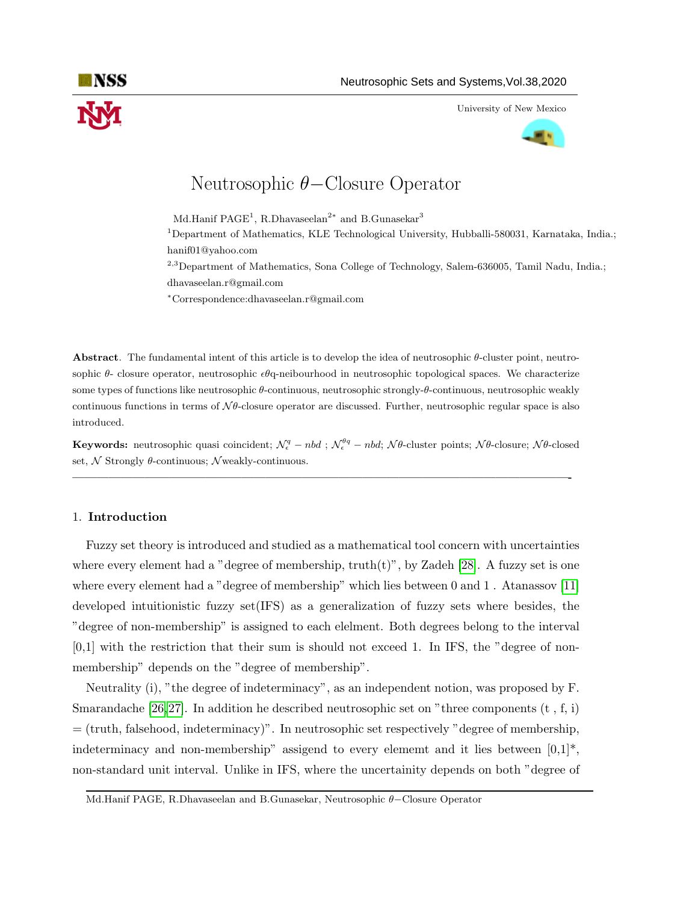

University of New Mexico



# Neutrosophic θ−Closure Operator

Md.Hanif  $\mathrm{PAGE}^1$ , R.Dhavaseelan<sup>2\*</sup> and B.Gunasekar<sup>3</sup>

<sup>1</sup>Department of Mathematics, KLE Technological University, Hubballi-580031, Karnataka, India.; hanif01@yahoo.com

<sup>2,3</sup>Department of Mathematics, Sona College of Technology, Salem-636005, Tamil Nadu, India.; dhavaseelan.r@gmail.com

<sup>∗</sup>Correspondence:dhavaseelan.r@gmail.com

Abstract. The fundamental intent of this article is to develop the idea of neutrosophic θ-cluster point, neutrosophic  $\theta$ - closure operator, neutrosophic  $\epsilon \theta$ q-neibourhood in neutrosophic topological spaces. We characterize some types of functions like neutrosophic θ-continuous, neutrosophic strongly-θ-continuous, neutrosophic weakly continuous functions in terms of  $N\theta$ -closure operator are discussed. Further, neutrosophic regular space is also introduced.

**Keywords:** neutrosophic quasi coincident;  $\mathcal{N}_{\epsilon}^q - nbd$ ;  $\mathcal{N}_{\epsilon}^{\theta q} - nbd$ ;  $\mathcal{N}\theta$ -cluster points;  $\mathcal{N}\theta$ -closure;  $\mathcal{N}\theta$ -closed set,  $N$  Strongly  $\theta$ -continuous; N weakly-continuous.

—————————————————————————————————————————-

### 1. Introduction

Fuzzy set theory is introduced and studied as a mathematical tool concern with uncertainties where every element had a "degree of membership,  $truth(t)$ ", by Zadeh [\[28\]](#page-9-0). A fuzzy set is one where every element had a "degree of membership" which lies between 0 and 1. Atanassov [\[11\]](#page-8-0) developed intuitionistic fuzzy set(IFS) as a generalization of fuzzy sets where besides, the "degree of non-membership" is assigned to each elelment. Both degrees belong to the interval  $[0,1]$  with the restriction that their sum is should not exceed 1. In IFS, the "degree of nonmembership" depends on the "degree of membership".

Neutrality (i), "the degree of indeterminacy", as an independent notion, was proposed by F. Smarandache [\[26,](#page-8-1)[27\]](#page-8-2). In addition he described neutrosophic set on "three components  $(t, f, i)$ = (truth, falsehood, indeterminacy)". In neutrosophic set respectively "degree of membership, indeterminacy and non-membership" assigend to every element and it lies between  $[0,1]^*$ , non-standard unit interval. Unlike in IFS, where the uncertainity depends on both "degree of

Md.Hanif PAGE, R.Dhavaseelan and B.Gunasekar, Neutrosophic θ−Closure Operator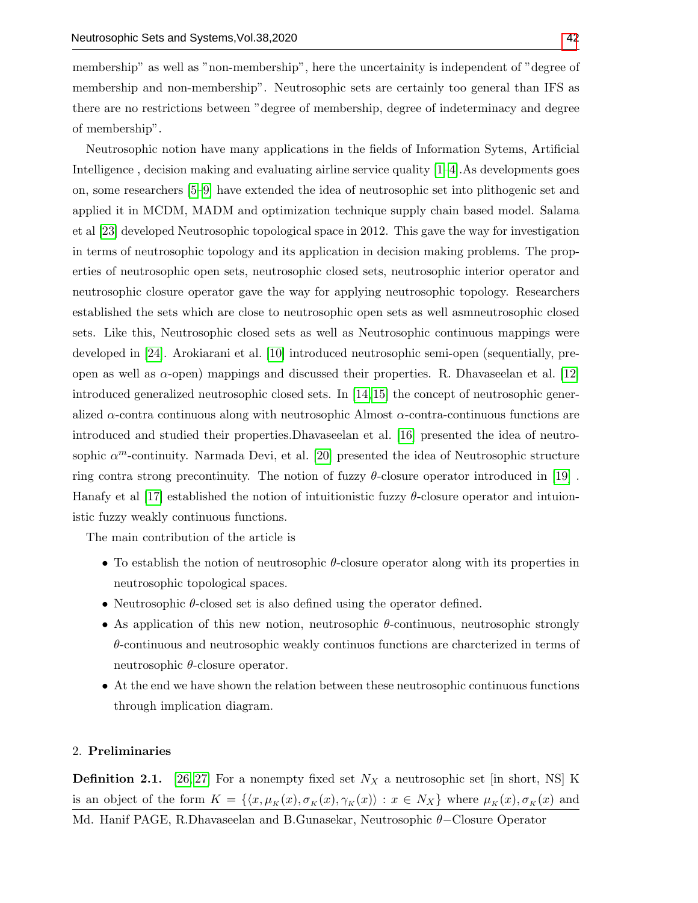membership" as well as "non-membership", here the uncertainity is independent of "degree of membership and non-membership". Neutrosophic sets are certainly too general than IFS as there are no restrictions between "degree of membership, degree of indeterminacy and degree of membership".

Neutrosophic notion have many applications in the fields of Information Sytems, Artificial Intelligence , decision making and evaluating airline service quality [\[1–](#page-7-0)[4\]](#page-7-1).As developments goes on, some researchers [\[5–](#page-7-2)[9\]](#page-8-3) have extended the idea of neutrosophic set into plithogenic set and applied it in MCDM, MADM and optimization technique supply chain based model. Salama et al [\[23\]](#page-8-4) developed Neutrosophic topological space in 2012. This gave the way for investigation in terms of neutrosophic topology and its application in decision making problems. The properties of neutrosophic open sets, neutrosophic closed sets, neutrosophic interior operator and neutrosophic closure operator gave the way for applying neutrosophic topology. Researchers established the sets which are close to neutrosophic open sets as well asmneutrosophic closed sets. Like this, Neutrosophic closed sets as well as Neutrosophic continuous mappings were developed in [\[24\]](#page-8-5). Arokiarani et al. [\[10\]](#page-8-6) introduced neutrosophic semi-open (sequentially, preopen as well as  $\alpha$ -open) mappings and discussed their properties. R. Dhavaseelan et al. [\[12\]](#page-8-7) introduced generalized neutrosophic closed sets. In [\[14,](#page-8-8) [15\]](#page-8-9) the concept of neutrosophic generalized  $\alpha$ -contra continuous along with neutrosophic Almost  $\alpha$ -contra-continuous functions are introduced and studied their properties.Dhavaseelan et al. [\[16\]](#page-8-10) presented the idea of neutrosophic  $\alpha^m$ -continuity. Narmada Devi, et al. [\[20\]](#page-8-11) presented the idea of Neutrosophic structure ring contra strong precontinuity. The notion of fuzzy  $\theta$ -closure operator introduced in [\[19\]](#page-8-12). Hanafy et al [\[17\]](#page-8-13) established the notion of intuitionistic fuzzy  $\theta$ -closure operator and intuionistic fuzzy weakly continuous functions.

The main contribution of the article is

- To establish the notion of neutrosophic  $\theta$ -closure operator along with its properties in neutrosophic topological spaces.
- Neutrosophic  $\theta$ -closed set is also defined using the operator defined.
- As application of this new notion, neutrosophic θ-continuous, neutrosophic strongly  $\theta$ -continuous and neutrosophic weakly continuos functions are charcterized in terms of neutrosophic  $\theta$ -closure operator.
- At the end we have shown the relation between these neutrosophic continuous functions through implication diagram.

## 2. Preliminaries

**Definition 2.1.** [\[26,](#page-8-1) [27\]](#page-8-2) For a nonempty fixed set  $N_X$  a neutrosophic set [in short, NS] K is an object of the form  $K = \{\langle x, \mu_K(x), \sigma_K(x), \gamma_K(x)\rangle : x \in N_X\}$  where  $\mu_K(x), \sigma_K(x)$  and Md. Hanif PAGE, R.Dhavaseelan and B.Gunasekar, Neutrosophic θ−Closure Operator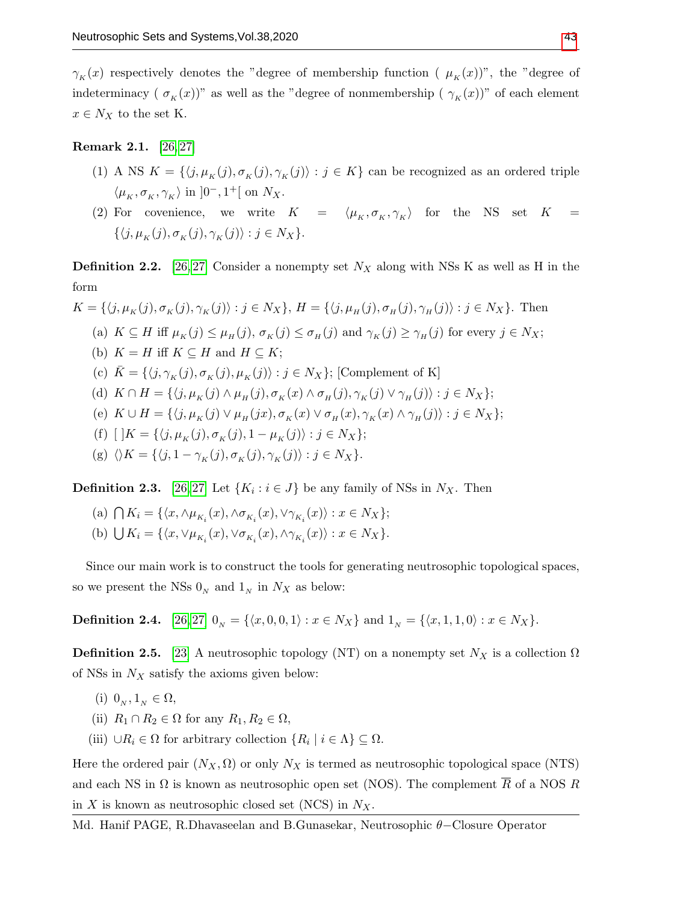$\gamma_K(x)$  respectively denotes the "degree of membership function (  $\mu_K(x)$ )", the "degree of indeterminacy (  $\sigma_K(x)$ )" as well as the "degree of nonmembership (  $\gamma_K(x)$ )" of each element  $x \in N_X$  to the set K.

## Remark 2.1. [\[26,](#page-8-1) [27\]](#page-8-2)

- (1) A NS  $K = \{\langle j, \mu_K(j), \sigma_K(j), \gamma_K(j)\rangle : j \in K\}$  can be recognized as an ordered triple  $\langle \mu_K, \sigma_K, \gamma_K \rangle$  in  $]0^-, 1^+[$  on  $N_X$ .
- (2) For covenience, we write  $K = \langle \mu_K, \sigma_K, \gamma_K \rangle$  for the NS set  $K =$  $\{\langle j, \mu_K (j), \sigma_K (j), \gamma_K (j)\rangle : j \in N_X\}.$

**Definition 2.2.** [\[26,](#page-8-1) [27\]](#page-8-2) Consider a nonempty set  $N_X$  along with NSs K as well as H in the form

$$
K = \{\langle j, \mu_K(j), \sigma_K(j), \gamma_K(j)\rangle : j \in N_X\}, H = \{\langle j, \mu_H(j), \sigma_H(j), \gamma_H(j)\rangle : j \in N_X\}.
$$
 Then  
\n(a)  $K \subseteq H$  iff  $\mu_K(j) \le \mu_H(j), \sigma_K(j) \le \sigma_H(j)$  and  $\gamma_K(j) \ge \gamma_H(j)$  for every  $j \in N_X$ ;  
\n(b)  $K = H$  iff  $K \subseteq H$  and  $H \subseteq K$ ;  
\n(c)  $\bar{K} = \{\langle j, \gamma_K(j), \sigma_K(j), \mu_K(j)\rangle : j \in N_X\}$ ; [Complement of K]  
\n(d)  $K \cap H = \{\langle j, \mu_K(j) \land \mu_H(j), \sigma_K(x) \land \sigma_H(j), \gamma_K(j) \lor \gamma_H(j)\rangle : j \in N_X\}$ ;  
\n(e)  $K \cup H = \{\langle j, \mu_K(j) \lor \mu_H(jx), \sigma_K(x) \lor \sigma_H(x), \gamma_K(x) \land \gamma_H(j)\rangle : j \in N_X\}$ ;  
\n(f)  $[K] = \{\langle j, \mu_K(j), \sigma_K(j), 1 - \mu_K(j)\rangle : j \in N_X\}$ ;  
\n(g)  $\langle \rangle K = \{\langle j, 1 - \gamma_K(j), \sigma_K(j), \gamma_K(j)\rangle : j \in N_X\}$ .

**Definition 2.3.** [\[26,](#page-8-1) [27\]](#page-8-2) Let  $\{K_i : i \in J\}$  be any family of NSs in  $N_X$ . Then

(a)  $\bigcap K_i = \{ \langle x, \wedge \mu_{K_i}(x), \wedge \sigma_{K_i}(x), \vee \gamma_{K_i}(x) \rangle : x \in N_X \};$ (b)  $\bigcup K_i = \{ \langle x, \vee \mu_{K_i}(x), \vee \sigma_{K_i}(x), \wedge \gamma_{K_i}(x) \rangle : x \in N_X \}.$ 

Since our main work is to construct the tools for generating neutrosophic topological spaces, so we present the NSs  $0<sub>N</sub>$  and  $1<sub>N</sub>$  in  $N_X$  as below:

**Definition 2.4.** [\[26,](#page-8-1) [27\]](#page-8-2)  $0_N = \{\langle x, 0, 0, 1 \rangle : x \in N_X\}$  and  $1_N = \{\langle x, 1, 1, 0 \rangle : x \in N_X\}.$ 

**Definition 2.5.** [\[23\]](#page-8-4) A neutrosophic topology (NT) on a nonempty set  $N_X$  is a collection  $\Omega$ of NSs in  $N_X$  satisfy the axioms given below:

- (i)  $0_N, 1_N \in \Omega$ ,
- (ii)  $R_1 \cap R_2 \in \Omega$  for any  $R_1, R_2 \in \Omega$ ,
- (iii)  $\cup R_i \in \Omega$  for arbitrary collection  $\{R_i \mid i \in \Lambda\} \subseteq \Omega$ .

Here the ordered pair  $(N_X, \Omega)$  or only  $N_X$  is termed as neutrosophic topological space (NTS) and each NS in  $\Omega$  is known as neutrosophic open set (NOS). The complement  $\overline{R}$  of a NOS R in X is known as neutrosophic closed set (NCS) in  $N_X$ .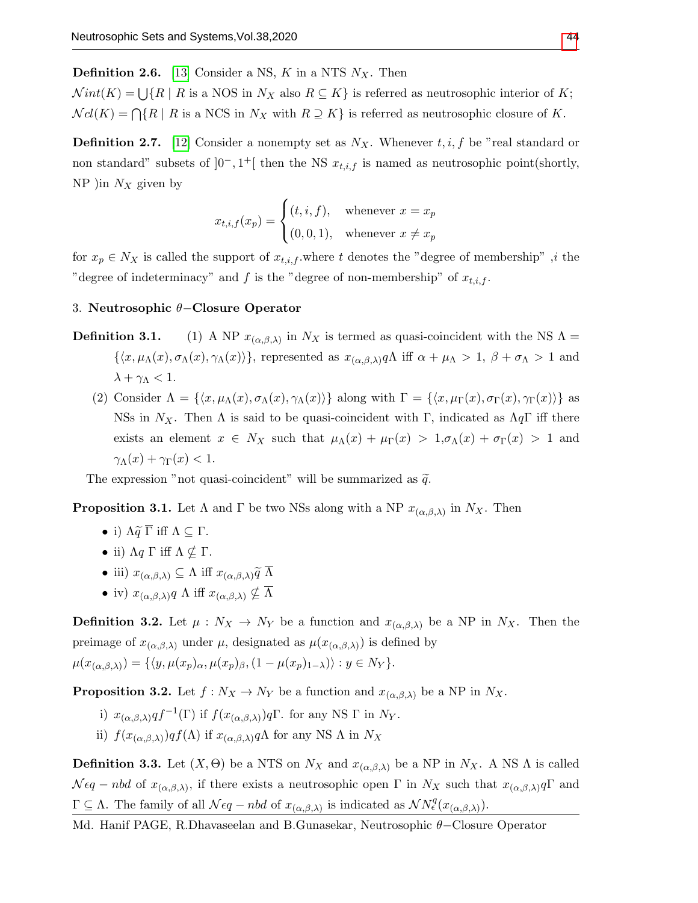**Definition 2.6.** [\[13\]](#page-8-14) Consider a NS, K in a NTS  $N_X$ . Then

 $Nint(K) = \bigcup \{R \mid R \text{ is a NOS in } N_X \text{ also } R \subseteq K \}$  is referred as neutrosophic interior of K;  $Ncl(K) = \bigcap \{R \mid R \text{ is a NCS in } N_X \text{ with } R \supseteq K \}$  is referred as neutrosophic closure of K.

**Definition 2.7.** [\[12\]](#page-8-7) Consider a nonempty set as  $N_X$ . Whenever  $t, i, f$  be "real standard or non standard" subsets of  $]0^-, 1^+[$  then the NS  $x_{t,i,f}$  is named as neutrosophic point(shortly, NP )in  $N_X$  given by

$$
x_{t,i,f}(x_p) = \begin{cases} (t,i,f), & \text{whenever } x = x_p \\ (0,0,1), & \text{whenever } x \neq x_p \end{cases}
$$

for  $x_p \in N_X$  is called the support of  $x_{t,i,f}$  where t denotes the "degree of membership" ,i the "degree of indeterminacy" and f is the "degree of non-membership" of  $x_{t,i,f}$ .

#### 3. Neutrosophic θ−Closure Operator

- **Definition 3.1.** (1) A NP  $x_{(\alpha,\beta,\lambda)}$  in  $N_X$  is termed as quasi-coincident with the NS  $\Lambda$  =  $\{\langle x,\mu_\Lambda(x),\sigma_\Lambda(x),\gamma_\Lambda(x)\rangle\}$ , represented as  $x_{(\alpha,\beta,\lambda)}\gamma\Lambda$  iff  $\alpha+\mu_\Lambda>1$ ,  $\beta+\sigma_\Lambda>1$  and  $\lambda + \gamma_{\Lambda} < 1$ .
	- (2) Consider  $\Lambda = \{\langle x, \mu_\Lambda(x), \sigma_\Lambda(x), \gamma_\Lambda(x)\rangle\}$  along with  $\Gamma = \{\langle x, \mu_\Gamma(x), \sigma_\Gamma(x), \gamma_\Gamma(x)\rangle\}$  as NSs in N<sub>X</sub>. Then  $\Lambda$  is said to be quasi-coincident with Γ, indicated as  $\Lambda q\Gamma$  iff there exists an element  $x \in N_X$  such that  $\mu_\Lambda(x) + \mu_\Gamma(x) > 1$ ,  $\sigma_\Lambda(x) + \sigma_\Gamma(x) > 1$  and  $\gamma_\Lambda(x) + \gamma_\Gamma(x) < 1.$

The expression "not quasi-coincident" will be summarized as  $\tilde{q}$ .

<span id="page-3-0"></span>**Proposition 3.1.** Let  $\Lambda$  and  $\Gamma$  be two NSs along with a NP  $x_{(\alpha,\beta,\lambda)}$  in  $N_X$ . Then

- i)  $\Lambda \widetilde{q} \overline{\Gamma}$  iff  $\Lambda \subseteq \Gamma$ .
- ii)  $\Lambda q \Gamma$  iff  $\Lambda \nsubseteq \Gamma$ .
- iii)  $x_{(\alpha,\beta,\lambda)} \subseteq \Lambda$  iff  $x_{(\alpha,\beta,\lambda)}\widetilde{q} \overline{\Lambda}$
- iv)  $x_{(\alpha,\beta,\lambda)}q \Lambda$  iff  $x_{(\alpha,\beta,\lambda)} \nsubseteq \overline{\Lambda}$

**Definition 3.2.** Let  $\mu : N_X \to N_Y$  be a function and  $x_{(\alpha,\beta,\lambda)}$  be a NP in  $N_X$ . Then the preimage of  $x_{(\alpha,\beta,\lambda)}$  under  $\mu$ , designated as  $\mu(x_{(\alpha,\beta,\lambda)})$  is defined by  $\mu(x_{(\alpha,\beta,\lambda)}) = \{ \langle y, \mu(x_p)_{\alpha}, \mu(x_p)_{\beta}, (1 - \mu(x_p)_{1-\lambda}) \rangle : y \in N_Y \}.$ 

**Proposition 3.2.** Let  $f : N_X \to N_Y$  be a function and  $x_{(\alpha,\beta,\lambda)}$  be a NP in  $N_X$ .

- i)  $x_{(\alpha,\beta,\lambda)}qf^{-1}(\Gamma)$  if  $f(x_{(\alpha,\beta,\lambda)})q\Gamma$ . for any NS  $\Gamma$  in  $N_Y$ .
- ii)  $f(x_{(\alpha,\beta,\lambda)})qf(\Lambda)$  if  $x_{(\alpha,\beta,\lambda)}q\Lambda$  for any NS  $\Lambda$  in  $N_X$

**Definition 3.3.** Let  $(X, \Theta)$  be a NTS on  $N_X$  and  $x_{(\alpha,\beta,\lambda)}$  be a NP in  $N_X$ . A NS  $\Lambda$  is called  $N \epsilon q - n b d$  of  $x_{(\alpha,\beta,\lambda)}$ , if there exists a neutrosophic open  $\Gamma$  in  $N_X$  such that  $x_{(\alpha,\beta,\lambda)} q \Gamma$  and  $\Gamma \subseteq \Lambda$ . The family of all  $\mathcal{N}\epsilon q - nbd$  of  $x_{(\alpha,\beta,\lambda)}$  is indicated as  $\mathcal{N}N_{\epsilon}^{q}(x_{(\alpha,\beta,\lambda)})$ .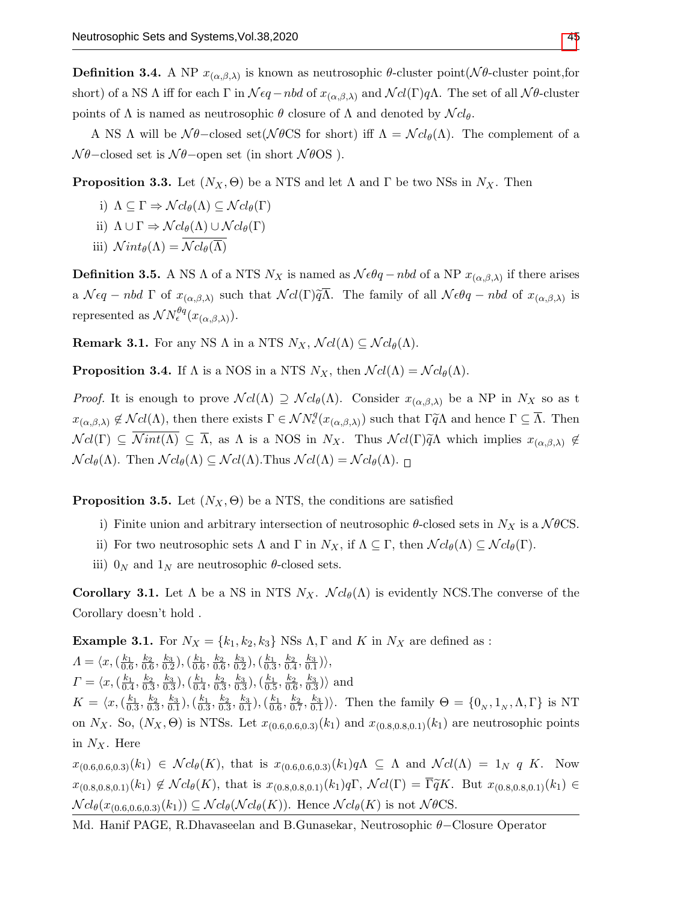<span id="page-4-0"></span>**Definition 3.4.** A NP  $x_{(\alpha,\beta,\lambda)}$  is known as neutrosophic  $\theta$ -cluster point( $\mathcal{N}\theta$ -cluster point, for short) of a NS  $\Lambda$  iff for each  $\Gamma$  in  $\mathcal{N}\epsilon q$  – nbd of  $x_{(\alpha,\beta,\lambda)}$  and  $\mathcal{N}cl(\Gamma)q\Lambda$ . The set of all  $\mathcal{N}\theta$ -cluster points of Λ is named as neutrosophic  $\theta$  closure of Λ and denoted by  $\mathcal{N}cl_{\theta}$ .

A NS  $\Lambda$  will be  $\mathcal{N}\theta$ -closed set( $\mathcal{N}\theta$ CS for short) iff  $\Lambda = \mathcal{N}cl_{\theta}(\Lambda)$ . The complement of a  $\mathcal{N}\theta$ –closed set is  $\mathcal{N}\theta$ –open set (in short  $\mathcal{N}\theta$ OS).

**Proposition 3.3.** Let  $(N_X, \Theta)$  be a NTS and let  $\Lambda$  and  $\Gamma$  be two NSs in  $N_X$ . Then

i) 
$$
\Lambda \subseteq \Gamma \Rightarrow \mathcal{N}cl_{\theta}(\Lambda) \subseteq \mathcal{N}cl_{\theta}(\Gamma)
$$

- ii)  $\Lambda \cup \Gamma \Rightarrow \mathcal{N} cl_{\theta}(\Lambda) \cup \mathcal{N} cl_{\theta}(\Gamma)$
- iii)  $Nint_{\theta}(\Lambda) = \overline{\mathcal{N}cl_{\theta}(\overline{\Lambda})}$

**Definition 3.5.** A NS  $\Lambda$  of a NTS  $N_X$  is named as  $\mathcal{N} \in \theta q - nbd$  of a NP  $x_{(\alpha,\beta,\lambda)}$  if there arises a  $\mathcal{N}\epsilon q - nbd \Gamma$  of  $x_{(\alpha,\beta,\lambda)}$  such that  $\mathcal{N}cl(\Gamma)\widetilde{q}\Lambda$ . The family of all  $\mathcal{N}\epsilon\theta q - nbd$  of  $x_{(\alpha,\beta,\lambda)}$  is represented as  $\mathcal{N} N^{\theta q}_\epsilon(x_{(\alpha,\beta,\lambda)}).$ 

**Remark 3.1.** For any NS  $\Lambda$  in a NTS  $N_X$ ,  $\mathcal{N}cl(\Lambda) \subseteq \mathcal{N}cl_{\theta}(\Lambda)$ .

**Proposition 3.4.** If  $\Lambda$  is a NOS in a NTS  $N_X$ , then  $\mathcal{N}cl(\Lambda) = \mathcal{N}cl_{\theta}(\Lambda)$ .

*Proof.* It is enough to prove  $\mathcal{N}cl(\Lambda) \supseteq \mathcal{N}cl_{\theta}(\Lambda)$ . Consider  $x_{(\alpha,\beta,\lambda)}$  be a NP in  $N_X$  so as t  $x_{(\alpha,\beta,\lambda)} \notin \mathcal{N}cl(\Lambda)$ , then there exists  $\Gamma \in \mathcal{N}N^q_{\epsilon}(x_{(\alpha,\beta,\lambda)})$  such that  $\Gamma \widetilde{q}\Lambda$  and hence  $\Gamma \subseteq \overline{\Lambda}$ . Then  $\mathcal{N}cl(\Gamma) \subseteq \overline{\mathcal{N}};int(\Lambda) \subseteq \overline{\Lambda}$ , as  $\Lambda$  is a NOS in  $N_X$ . Thus  $\mathcal{N}cl(\Gamma)\widetilde{q}\Lambda$  which implies  $x_{(\alpha,\beta,\lambda)} \notin$  $\mathcal{N}cl_{\theta}(\Lambda)$ . Then  $\mathcal{N}cl_{\theta}(\Lambda) \subseteq \mathcal{N}cl(\Lambda)$ . Thus  $\mathcal{N}cl(\Lambda) = \mathcal{N}cl_{\theta}(\Lambda)$ .

**Proposition 3.5.** Let  $(N_X, \Theta)$  be a NTS, the conditions are satisfied

- i) Finite union and arbitrary intersection of neutrosophic  $\theta$ -closed sets in  $N_X$  is a  $\mathcal{N}\theta\text{CS}$ .
- ii) For two neutrosophic sets  $\Lambda$  and  $\Gamma$  in  $N_X$ , if  $\Lambda \subseteq \Gamma$ , then  $\mathcal{N}cl_{\theta}(\Lambda) \subseteq \mathcal{N}cl_{\theta}(\Gamma)$ .
- iii)  $0_N$  and  $1_N$  are neutrosophic  $\theta$ -closed sets.

**Corollary 3.1.** Let  $\Lambda$  be a NS in NTS  $N_X$ .  $\mathcal{N}cl_{\theta}(\Lambda)$  is evidently NCS. The converse of the Corollary doesn't hold .

**Example 3.1.** For  $N_X = \{k_1, k_2, k_3\}$  NSs  $\Lambda$ ,  $\Gamma$  and  $K$  in  $N_X$  are defined as :  $A = \langle x, (\frac{k_1}{0.6}, \frac{k_2}{0.6}, \frac{k_3}{0.2}), (\frac{k_1}{0.6}, \frac{k_2}{0.6}, \frac{k_3}{0.2}), (\frac{k_1}{0.3}, \frac{k_2}{0.4}, \frac{k_3}{0.1}) \rangle,$  $\Gamma = \langle x, (\frac{k_1}{0.4}, \frac{k_2}{0.3}, \frac{k_3}{0.3}), (\frac{k_1}{0.4}, \frac{k_2}{0.3}, \frac{k_3}{0.3}), (\frac{k_1}{0.5}, \frac{k_2}{0.6}, \frac{k_3}{0.3}) \rangle$  and  $K = \langle x, (\frac{k_1}{0.3}, \frac{k_2}{0.3}, \frac{k_3}{0.1}), (\frac{k_1}{0.3}, \frac{k_2}{0.3}, \frac{k_3}{0.1}), (\frac{k_1}{0.6}, \frac{k_2}{0.7}, \frac{k_3}{0.1})\rangle$ . Then the family  $\Theta = \{0_N, 1_N, \Lambda, \Gamma\}$  is NT on  $N_X$ . So,  $(N_X, \Theta)$  is NTSs. Let  $x_{(0.6,0.6,0.3)}(k_1)$  and  $x_{(0.8,0.8,0.1)}(k_1)$  are neutrosophic points in  $N_X$ . Here  $x_{(0.6,0.6,0.3)}(k_1) \in \mathcal{N}cl_{\theta}(K)$ , that is  $x_{(0.6,0.6,0.3)}(k_1)q\Lambda \subseteq \Lambda$  and  $\mathcal{N}cl(\Lambda) = 1_N q K$ . Now

 $x_{(0.8,0.8,0.1)}(k_1) \notin \mathcal{N}cl_{\theta}(K)$ , that is  $x_{(0.8,0.8,0.1)}(k_1)q\Gamma, \mathcal{N}cl(\Gamma) = \overline{\Gamma}\widetilde{q}K$ . But  $x_{(0.8,0.8,0.1)}(k_1) \in$  $\mathcal{N}cl_{\theta}(x_{(0.6,0.6,0.3)}(k_1)) \subseteq \mathcal{N}cl_{\theta}(\mathcal{N}cl_{\theta}(K))$ . Hence  $\mathcal{N}cl_{\theta}(K)$  is not  $\mathcal{N}\theta\text{CS}$ .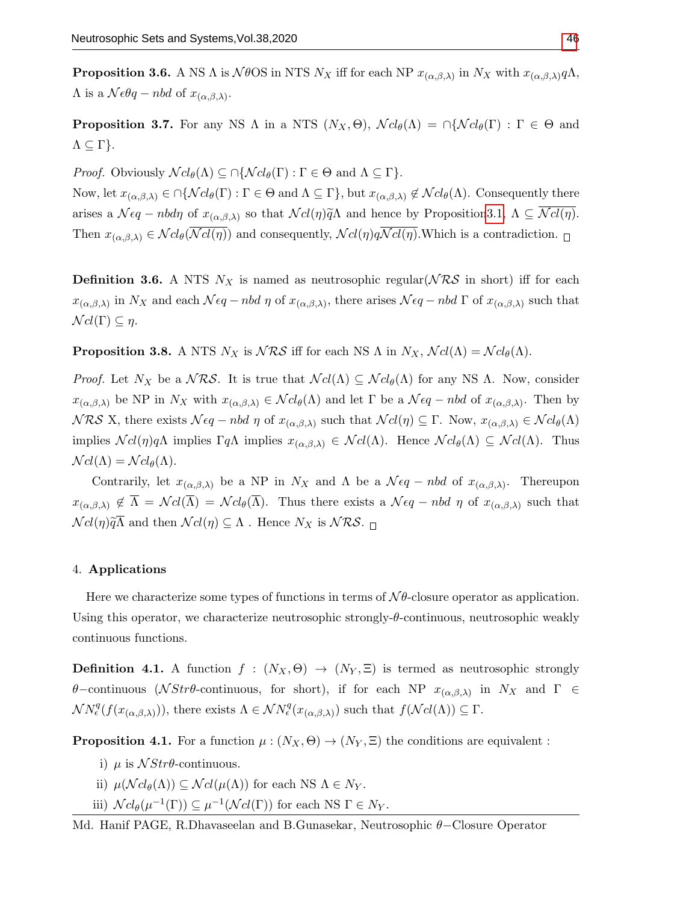**Proposition 3.6.** A NS  $\Lambda$  is  $\mathcal{N}\theta$ OS in NTS  $N_X$  iff for each NP  $x_{(\alpha,\beta,\lambda)}$  in  $N_X$  with  $x_{(\alpha,\beta,\lambda)}q\Lambda$ ,  $\Lambda$  is a  $\mathcal{N}\epsilon\theta q - nbd$  of  $x_{(\alpha,\beta,\lambda)}$ .

**Proposition 3.7.** For any NS  $\Lambda$  in a NTS  $(N_X, \Theta)$ ,  $\mathcal{N}cl_{\theta}(\Lambda) = \bigcap \{ \mathcal{N}cl_{\theta}(\Gamma) : \Gamma \in \Theta \text{ and }$  $Λ ⊆ Γ$ }.

*Proof.* Obviously  $\mathcal{N}cl_{\theta}(\Lambda) \subseteq \bigcap \{ \mathcal{N}cl_{\theta}(\Gamma) : \Gamma \in \Theta \text{ and } \Lambda \subseteq \Gamma \}.$ 

Now, let  $x_{(\alpha,\beta,\lambda)} \in \bigcap \{ \mathcal{N}cl_{\theta}(\Gamma) : \Gamma \in \Theta \text{ and } \Lambda \subseteq \Gamma \},\$  but  $x_{(\alpha,\beta,\lambda)} \notin \mathcal{N}cl_{\theta}(\Lambda)$ . Consequently there arises a  $\mathcal{N}\epsilon q - nbd\eta$  of  $x_{(\alpha,\beta,\lambda)}$  so that  $\mathcal{N}cl(\eta)\widetilde{q}\Lambda$  and hence by Propositio[n3.1,](#page-3-0)  $\Lambda \subseteq \mathcal{N}cl(\eta)$ . Then  $x_{(\alpha,\beta,\lambda)} \in \mathcal{N}cl_{\theta}(\overline{\mathcal{N}cl(\eta)})$  and consequently,  $\mathcal{N}cl(\eta)q\overline{\mathcal{N}cl(\eta)}$ . Which is a contradiction.  $\Box$ 

**Definition 3.6.** A NTS  $N_X$  is named as neutrosophic regular( $\mathcal{NRS}$  in short) iff for each  $x_{(\alpha,\beta,\lambda)}$  in  $N_X$  and each  $\mathcal{N}\epsilon q - nbd \eta$  of  $x_{(\alpha,\beta,\lambda)}$ , there arises  $\mathcal{N}\epsilon q - nbd \Gamma$  of  $x_{(\alpha,\beta,\lambda)}$  such that  $\mathcal{N}cl(\Gamma) \subseteq \eta$ .

**Proposition 3.8.** A NTS  $N_X$  is  $\mathcal{NRS}$  iff for each NS  $\Lambda$  in  $N_X$ ,  $\mathcal{N}cl(\Lambda) = \mathcal{N}cl_{\theta}(\Lambda)$ .

*Proof.* Let  $N_X$  be a  $\mathcal{NRS}$ . It is true that  $\mathcal{N}cl(\Lambda) \subseteq \mathcal{N}cl_{\theta}(\Lambda)$  for any NS  $\Lambda$ . Now, consider  $x_{(\alpha,\beta,\lambda)}$  be NP in  $N_X$  with  $x_{(\alpha,\beta,\lambda)} \in \mathcal{N}cl_{\theta}(\Lambda)$  and let  $\Gamma$  be a  $\mathcal{N}\epsilon q - nbd$  of  $x_{(\alpha,\beta,\lambda)}$ . Then by  $NRS$  X, there exists  $N\epsilon q - nbd \eta$  of  $x_{(\alpha,\beta,\lambda)}$  such that  $\mathcal{N}cl(\eta) \subseteq \Gamma$ . Now,  $x_{(\alpha,\beta,\lambda)} \in \mathcal{N}cl_{\theta}(\Lambda)$ implies  $\mathcal{N}cl(\eta)q\Lambda$  implies  $\Gamma q\Lambda$  implies  $x_{(\alpha,\beta,\lambda)} \in \mathcal{N}cl(\Lambda)$ . Hence  $\mathcal{N}cl_{\theta}(\Lambda) \subseteq \mathcal{N}cl(\Lambda)$ . Thus  $\mathcal{N}cl(\Lambda) = \mathcal{N}cl_{\theta}(\Lambda).$ 

Contrarily, let  $x_{(\alpha,\beta,\lambda)}$  be a NP in  $N_X$  and  $\Lambda$  be a  $\mathcal{N} \epsilon q - n b d$  of  $x_{(\alpha,\beta,\lambda)}$ . Thereupon  $x_{(\alpha,\beta,\lambda)} \notin \overline{\Lambda} = \mathcal{N}cl(\overline{\Lambda}) = \mathcal{N}cl_{\theta}(\overline{\Lambda})$ . Thus there exists a  $\mathcal{N}\epsilon q - nbd \eta$  of  $x_{(\alpha,\beta,\lambda)}$  such that  $\mathcal{N}cl(\eta)\widetilde{q}\overline{\Lambda}$  and then  $\mathcal{N}cl(\eta) \subseteq \Lambda$ . Hence  $N_X$  is  $\mathcal{NRS}$ .

#### 4. Applications

Here we characterize some types of functions in terms of  $N\theta$ -closure operator as application. Using this operator, we characterize neutrosophic strongly- $\theta$ -continuous, neutrosophic weakly continuous functions.

**Definition 4.1.** A function  $f : (N_X, \Theta) \to (N_Y, \Xi)$  is termed as neutrosophic strongly θ–continuous (N Strθ-continuous, for short), if for each NP  $x_{(\alpha,\beta,\lambda)}$  in N<sub>X</sub> and Γ  $\in$  $\mathcal{N}N_{\epsilon}^{q}(f(x_{(\alpha,\beta,\lambda)})),$  there exists  $\Lambda \in \mathcal{N}N_{\epsilon}^{q}(x_{(\alpha,\beta,\lambda)})$  such that  $f(\mathcal{N}cl(\Lambda)) \subseteq \Gamma$ .

**Proposition 4.1.** For a function  $\mu : (N_X, \Theta) \to (N_Y, \Xi)$  the conditions are equivalent :

- i)  $\mu$  is  $\mathcal{N}Str\theta$ -continuous.
- ii)  $\mu(\mathcal{N}cl_{\theta}(\Lambda)) \subseteq \mathcal{N}cl(\mu(\Lambda))$  for each NS  $\Lambda \in N_Y$ .
- iii)  $\mathcal{N} cl_{\theta}(\mu^{-1}(\Gamma)) \subseteq \mu^{-1}(\mathcal{N} cl(\Gamma))$  for each NS  $\Gamma \in N_Y$ .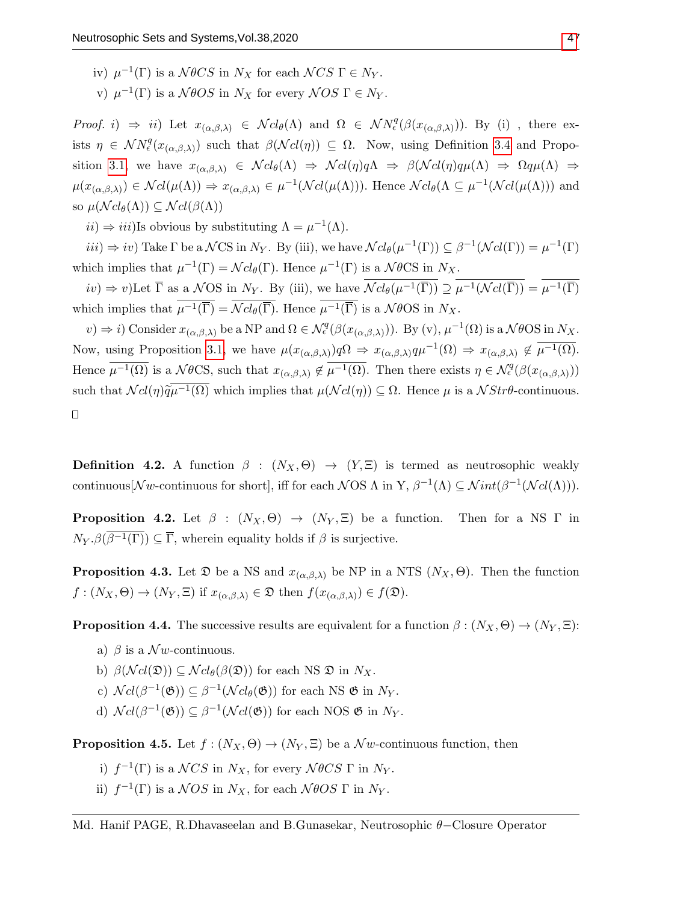- iv)  $\mu^{-1}(\Gamma)$  is a  $\mathcal{N}\theta CS$  in  $N_X$  for each  $\mathcal{N}CS \Gamma \in N_Y$ .
- v)  $\mu^{-1}(\Gamma)$  is a  $\mathcal{N}\theta OS$  in  $N_X$  for every  $\mathcal{N} OS \Gamma \in N_Y$ .

Proof. i)  $\Rightarrow$  ii) Let  $x_{(\alpha,\beta,\lambda)} \in \mathcal{N}cl_{\theta}(\Lambda)$  and  $\Omega \in \mathcal{N}N_{\epsilon}^q(\beta(x_{(\alpha,\beta,\lambda)}))$ . By (i), there exists  $\eta \in \mathcal{N}N_{\epsilon}^{q}(x_{(\alpha,\beta,\lambda)})$  such that  $\beta(\mathcal{N}cl(\eta)) \subseteq \Omega$ . Now, using Definition [3.4](#page-4-0) and Propo-sition [3.1,](#page-3-0) we have  $x_{(\alpha,\beta,\lambda)} \in \mathcal{N}cl_{\theta}(\Lambda) \Rightarrow \mathcal{N}cl(\eta)q\Lambda \Rightarrow \beta(\mathcal{N}cl(\eta)q\mu(\Lambda) \Rightarrow \Omega q\mu(\Lambda) \Rightarrow$  $\mu(x_{(\alpha,\beta,\lambda)}) \in \mathcal{N}cl(\mu(\Lambda)) \Rightarrow x_{(\alpha,\beta,\lambda)} \in \mu^{-1}(\mathcal{N}cl(\mu(\Lambda))).$  Hence  $\mathcal{N}cl_{\theta}(\Lambda \subseteq \mu^{-1}(\mathcal{N}cl(\mu(\Lambda)))$  and so  $\mu(\mathcal{N}cl_{\theta}(\Lambda)) \subseteq \mathcal{N}cl(\beta(\Lambda))$ 

 $ii) \Rightarrow iii)$ Is obvious by substituting  $\Lambda = \mu^{-1}(\Lambda)$ .

 $iii) \Rightarrow iv)$  Take  $\Gamma$  be a  $\mathcal{N}CS$  in  $N_Y$ . By (iii), we have  $\mathcal{N}cl_{\theta}(\mu^{-1}(\Gamma)) \subseteq \beta^{-1}(\mathcal{N}cl(\Gamma)) = \mu^{-1}(\Gamma)$ which implies that  $\mu^{-1}(\Gamma) = \mathcal{N} cl_{\theta}(\Gamma)$ . Hence  $\mu^{-1}(\Gamma)$  is a  $\mathcal{N} \theta \text{CS}$  in  $N_X$ .

 $iv) \Rightarrow v)$ Let  $\overline{\Gamma}$  as a  $N$ OS in  $N_Y$ . By (iii), we have  $\overline{\mathcal{N}cl_{\theta}(\mu^{-1}(\overline{\Gamma}))} \supseteq \overline{\mu^{-1}(\mathcal{N}cl(\overline{\Gamma}))} = \overline{\mu^{-1}(\overline{\Gamma})}$ which implies that  $\overline{\mu^{-1}(\overline{\Gamma})} = \overline{\mathcal{N}cl_{\theta}(\overline{\Gamma})}$ . Hence  $\overline{\mu^{-1}(\overline{\Gamma})}$  is a  $\mathcal{N}\theta\text{OS}$  in  $N_X$ .

 $(v) \Rightarrow i)$  Consider  $x_{(\alpha,\beta,\lambda)}$  be a NP and  $\Omega \in \mathcal{N}_{\epsilon}^q(\beta(x_{(\alpha,\beta,\lambda)}))$ . By (v),  $\mu^{-1}(\Omega)$  is a  $\mathcal{N}\theta\text{OS in }N_X$ . Now, using Proposition [3.1,](#page-3-0) we have  $\mu(x_{(\alpha,\beta,\lambda)})q\Omega \Rightarrow x_{(\alpha,\beta,\lambda)}q\mu^{-1}(\Omega) \Rightarrow x_{(\alpha,\beta,\lambda)} \notin \overline{\mu^{-1}(\Omega)}$ . Hence  $\overline{\mu^{-1}(\Omega)}$  is a  $\mathcal{N}\theta\text{CS}$ , such that  $x_{(\alpha,\beta,\lambda)} \notin \overline{\mu^{-1}(\Omega)}$ . Then there exists  $\eta \in \mathcal{N}_{\epsilon}^q(\beta(x_{(\alpha,\beta,\lambda)}))$ such that  $\mathcal{N}cl(\eta)\widetilde{q}\overline{\mu^{-1}(\Omega)}$  which implies that  $\mu(\mathcal{N}cl(\eta))\subseteq\Omega$ . Hence  $\mu$  is a  $\mathcal{N}Str\theta$ -continuous.

 $\Box$ 

**Definition 4.2.** A function  $\beta$  :  $(N_X, \Theta) \rightarrow (Y, \Xi)$  is termed as neutrosophic weakly continuous  $[\mathcal{N}w$ -continuous for short, iff for each  $\mathcal{N}$ OS  $\Lambda$  in Y,  $\beta^{-1}(\Lambda) \subseteq \mathcal{N}int(\beta^{-1}(\mathcal{N}cl(\Lambda)))$ .

**Proposition 4.2.** Let  $\beta$  :  $(N_X, \Theta) \rightarrow (N_Y, \Xi)$  be a function. Then for a NS  $\Gamma$  in  $N_Y$   $\beta(\beta^{-1}(\Gamma)) \subseteq \overline{\Gamma}$ , wherein equality holds if  $\beta$  is surjective.

**Proposition 4.3.** Let  $\mathfrak D$  be a NS and  $x_{(\alpha,\beta,\lambda)}$  be NP in a NTS  $(N_X,\Theta)$ . Then the function  $f:(N_X,\Theta)\to(N_Y,\Xi)$  if  $x_{(\alpha,\beta,\lambda)}\in\mathfrak{D}$  then  $f(x_{(\alpha,\beta,\lambda)})\in f(\mathfrak{D})$ .

**Proposition 4.4.** The successive results are equivalent for a function  $\beta : (N_X, \Theta) \to (N_Y, \Xi)$ :

- a)  $\beta$  is a  $\mathcal{N}w$ -continuous.
- b)  $\beta(\mathcal{N}cl(\mathfrak{D})) \subseteq \mathcal{N}cl_{\theta}(\beta(\mathfrak{D}))$  for each NS  $\mathfrak{D}$  in  $N_X$ .
- c)  $\mathcal{N}cl(\beta^{-1}(\mathfrak{G})) \subseteq \beta^{-1}(\mathcal{N}cl_{\theta}(\mathfrak{G}))$  for each NS  $\mathfrak{G}$  in  $N_Y$ .
- d)  $\mathcal{N}cl(\beta^{-1}(\mathfrak{G})) \subseteq \beta^{-1}(\mathcal{N}cl(\mathfrak{G}))$  for each NOS  $\mathfrak{G}$  in  $N_Y$ .

**Proposition 4.5.** Let  $f : (N_X, \Theta) \to (N_Y, \Xi)$  be a  $\mathcal{N}w$ -continuous function, then

- i)  $f^{-1}(\Gamma)$  is a  $\mathcal{N}CS$  in  $N_X$ , for every  $\mathcal{N}\theta CS \Gamma$  in  $N_Y$ .
- ii)  $f^{-1}(\Gamma)$  is a  $NOS$  in  $N_X$ , for each  $N\theta OS \Gamma$  in  $N_Y$ .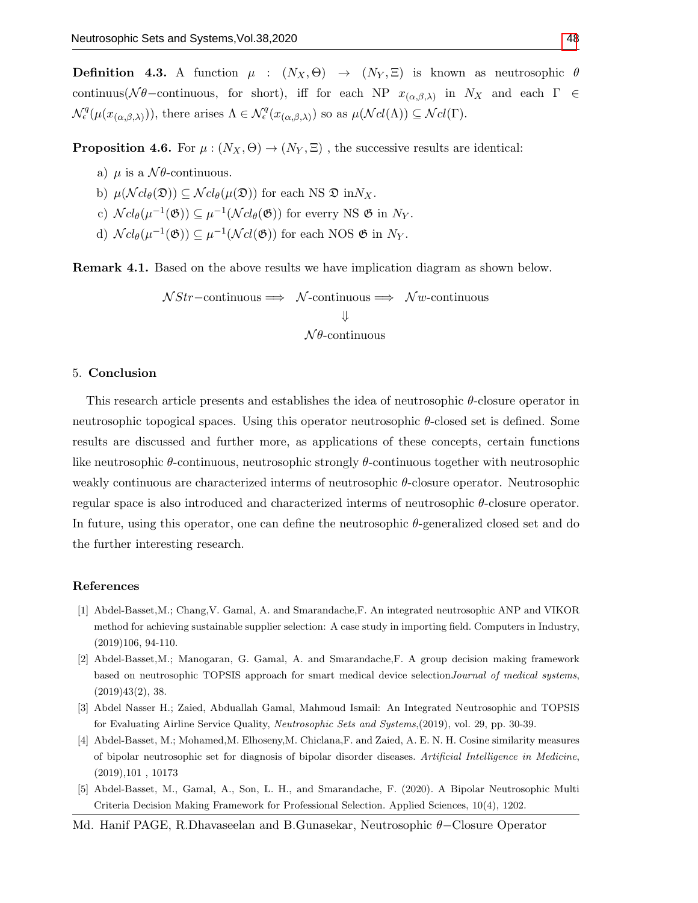**Definition 4.3.** A function  $\mu : (N_X, \Theta) \to (N_Y, \Xi)$  is known as neutrosophic  $\theta$ continuus( $N\theta$ -continuous, for short), iff for each NP  $x_{(\alpha,\beta,\lambda)}$  in  $N_X$  and each  $\Gamma \in$  $\mathcal{N}_{\epsilon}^q(\mu(x_{(\alpha,\beta,\lambda)})),$  there arises  $\Lambda \in \mathcal{N}_{\epsilon}^q(x_{(\alpha,\beta,\lambda)})$  so as  $\mu(\mathcal{N}cl(\Lambda)) \subseteq \mathcal{N}cl(\Gamma)$ .

**Proposition 4.6.** For  $\mu : (N_X, \Theta) \to (N_Y, \Xi)$ , the successive results are identical:

- a)  $\mu$  is a  $\mathcal{N}\theta$ -continuous.
- b)  $\mu(\mathcal{N} cl_{\theta}(\mathfrak{D})) \subseteq \mathcal{N} cl_{\theta}(\mu(\mathfrak{D}))$  for each NS  $\mathfrak{D}$  in  $N_X$ .
- c)  $\mathcal{N}cl_{\theta}(\mu^{-1}(\mathfrak{G})) \subseteq \mu^{-1}(\mathcal{N}cl_{\theta}(\mathfrak{G}))$  for everry NS  $\mathfrak{G}$  in  $N_Y$ .
- d)  $\mathcal{N}cl_{\theta}(\mu^{-1}(\mathfrak{G})) \subseteq \mu^{-1}(\mathcal{N}cl(\mathfrak{G}))$  for each NOS  $\mathfrak{G}$  in  $N_Y$ .

Remark 4.1. Based on the above results we have implication diagram as shown below.

$$
\mathcal{N}Str
$$
-continuous  $\implies$   $\mathcal{N}$ -continuous  $\implies$   $\mathcal{N}w$ -continuous  
 $\Downarrow$   
 $\mathcal{N}\theta$ -continuous

#### 5. Conclusion

This research article presents and establishes the idea of neutrosophic  $\theta$ -closure operator in neutrosophic topogical spaces. Using this operator neutrosophic θ-closed set is defined. Some results are discussed and further more, as applications of these concepts, certain functions like neutrosophic θ-continuous, neutrosophic strongly θ-continuous together with neutrosophic weakly continuous are characterized interms of neutrosophic θ-closure operator. Neutrosophic regular space is also introduced and characterized interms of neutrosophic  $\theta$ -closure operator. In future, using this operator, one can define the neutrosophic  $\theta$ -generalized closed set and do the further interesting research.

#### References

- <span id="page-7-0"></span>[1] Abdel-Basset,M.; Chang,V. Gamal, A. and Smarandache,F. An integrated neutrosophic ANP and VIKOR method for achieving sustainable supplier selection: A case study in importing field. Computers in Industry, (2019)106, 94-110.
- [2] Abdel-Basset,M.; Manogaran, G. Gamal, A. and Smarandache,F. A group decision making framework based on neutrosophic TOPSIS approach for smart medical device selection Journal of medical systems,  $(2019)43(2), 38.$
- [3] Abdel Nasser H.; Zaied, Abduallah Gamal, Mahmoud Ismail: An Integrated Neutrosophic and TOPSIS for Evaluating Airline Service Quality, Neutrosophic Sets and Systems,(2019), vol. 29, pp. 30-39.
- <span id="page-7-1"></span>[4] Abdel-Basset, M.; Mohamed,M. Elhoseny,M. Chiclana,F. and Zaied, A. E. N. H. Cosine similarity measures of bipolar neutrosophic set for diagnosis of bipolar disorder diseases. Artificial Intelligence in Medicine, (2019),101 , 10173
- <span id="page-7-2"></span>[5] Abdel-Basset, M., Gamal, A., Son, L. H., and Smarandache, F. (2020). A Bipolar Neutrosophic Multi Criteria Decision Making Framework for Professional Selection. Applied Sciences, 10(4), 1202.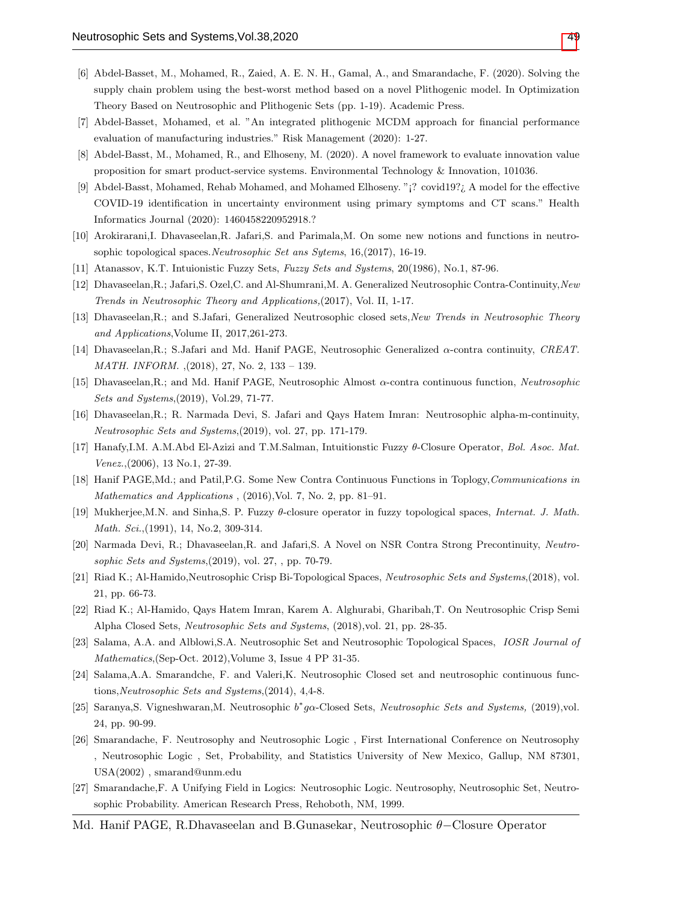- [6] Abdel-Basset, M., Mohamed, R., Zaied, A. E. N. H., Gamal, A., and Smarandache, F. (2020). Solving the supply chain problem using the best-worst method based on a novel Plithogenic model. In Optimization Theory Based on Neutrosophic and Plithogenic Sets (pp. 1-19). Academic Press.
- [7] Abdel-Basset, Mohamed, et al. "An integrated plithogenic MCDM approach for financial performance evaluation of manufacturing industries." Risk Management (2020): 1-27.
- [8] Abdel-Basst, M., Mohamed, R., and Elhoseny, M. (2020). A novel framework to evaluate innovation value proposition for smart product-service systems. Environmental Technology & Innovation, 101036.
- <span id="page-8-3"></span>[9] Abdel-Basst, Mohamed, Rehab Mohamed, and Mohamed Elhoseny. "¡? covid19?¿ A model for the effective COVID-19 identification in uncertainty environment using primary symptoms and CT scans." Health Informatics Journal (2020): 1460458220952918.?
- <span id="page-8-6"></span>[10] Arokirarani,I. Dhavaseelan,R. Jafari,S. and Parimala,M. On some new notions and functions in neutrosophic topological spaces.Neutrosophic Set ans Sytems, 16,(2017), 16-19.
- <span id="page-8-0"></span>[11] Atanassov, K.T. Intuionistic Fuzzy Sets, Fuzzy Sets and Systems, 20(1986), No.1, 87-96.
- <span id="page-8-7"></span>[12] Dhavaseelan,R.; Jafari,S. Ozel,C. and Al-Shumrani,M. A. Generalized Neutrosophic Contra-Continuity,New Trends in Neutrosophic Theory and Applications,(2017), Vol. II, 1-17.
- <span id="page-8-14"></span>[13] Dhavaseelan, R.; and S.Jafari, Generalized Neutrosophic closed sets, New Trends in Neutrosophic Theory and Applications,Volume II, 2017,261-273.
- <span id="page-8-8"></span>[14] Dhavaseelan,R.; S.Jafari and Md. Hanif PAGE, Neutrosophic Generalized α-contra continuity, CREAT. MATH. INFORM. ,(2018), 27, No. 2, 133 – 139.
- <span id="page-8-9"></span>[15] Dhavaseelan,R.; and Md. Hanif PAGE, Neutrosophic Almost α-contra continuous function, Neutrosophic Sets and Systems,(2019), Vol.29, 71-77.
- <span id="page-8-10"></span>[16] Dhavaseelan,R.; R. Narmada Devi, S. Jafari and Qays Hatem Imran: Neutrosophic alpha-m-continuity, Neutrosophic Sets and Systems,(2019), vol. 27, pp. 171-179.
- <span id="page-8-13"></span>[17] Hanafy,I.M. A.M.Abd El-Azizi and T.M.Salman, Intuitionstic Fuzzy θ-Closure Operator, Bol. Asoc. Mat. Venez.,(2006), 13 No.1, 27-39.
- [18] Hanif PAGE, Md.; and Patil, P.G. Some New Contra Continuous Functions in Toplogy, Communications in Mathematics and Applications , (2016),Vol. 7, No. 2, pp. 81–91.
- <span id="page-8-12"></span>[19] Mukherjee,M.N. and Sinha,S. P. Fuzzy θ-closure operator in fuzzy topological spaces, Internat. J. Math. Math. Sci., (1991), 14, No.2, 309-314.
- <span id="page-8-11"></span>[20] Narmada Devi, R.; Dhavaseelan,R. and Jafari,S. A Novel on NSR Contra Strong Precontinuity, Neutrosophic Sets and Systems,(2019), vol. 27, , pp. 70-79.
- [21] Riad K.; Al-Hamido,Neutrosophic Crisp Bi-Topological Spaces, Neutrosophic Sets and Systems,(2018), vol. 21, pp. 66-73.
- [22] Riad K.; Al-Hamido, Qays Hatem Imran, Karem A. Alghurabi, Gharibah,T. On Neutrosophic Crisp Semi Alpha Closed Sets, Neutrosophic Sets and Systems, (2018),vol. 21, pp. 28-35.
- <span id="page-8-4"></span>[23] Salama, A.A. and Alblowi,S.A. Neutrosophic Set and Neutrosophic Topological Spaces, IOSR Journal of Mathematics,(Sep-Oct. 2012),Volume 3, Issue 4 PP 31-35.
- <span id="page-8-5"></span>[24] Salama,A.A. Smarandche, F. and Valeri,K. Neutrosophic Closed set and neutrosophic continuous functions,Neutrosophic Sets and Systems,(2014), 4,4-8.
- [25] Saranya, S. Vigneshwaran, M. Neutrosophic b\*gα-Closed Sets, Neutrosophic Sets and Systems, (2019), vol. 24, pp. 90-99.
- <span id="page-8-1"></span>[26] Smarandache, F. Neutrosophy and Neutrosophic Logic , First International Conference on Neutrosophy , Neutrosophic Logic , Set, Probability, and Statistics University of New Mexico, Gallup, NM 87301, USA(2002) , smarand@unm.edu
- <span id="page-8-2"></span>[27] Smarandache,F. A Unifying Field in Logics: Neutrosophic Logic. Neutrosophy, Neutrosophic Set, Neutrosophic Probability. American Research Press, Rehoboth, NM, 1999.
- Md. Hanif PAGE, R.Dhavaseelan and B.Gunasekar, Neutrosophic θ−Closure Operator